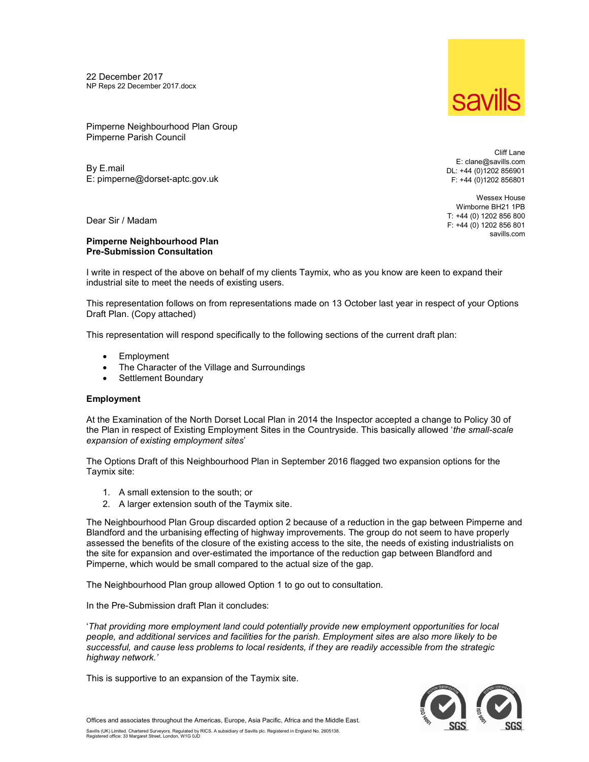22 December 2017 NP Reps 22 December 2017.docx



Pimperne Neighbourhood Plan Group Pimperne Parish Council

By E.mail E: pimperne@dorset-aptc.gov.uk

Dear Sir / Madam

## Pimperne Neighbourhood Plan Pre-Submission Consultation

Cliff Lane E: clane@savills.com DL: +44 (0)1202 856901 F: +44 (0)1202 856801

Wessex House Wimborne BH21 1PB T: +44 (0) 1202 856 800 F: +44 (0) 1202 856 801 savills.com

I write in respect of the above on behalf of my clients Taymix, who as you know are keen to expand their industrial site to meet the needs of existing users.

This representation follows on from representations made on 13 October last year in respect of your Options Draft Plan. (Copy attached)

This representation will respond specifically to the following sections of the current draft plan:

- Employment
- The Character of the Village and Surroundings
- Settlement Boundary

## **Employment**

At the Examination of the North Dorset Local Plan in 2014 the Inspector accepted a change to Policy 30 of the Plan in respect of Existing Employment Sites in the Countryside. This basically allowed 'the small-scale expansion of existing employment sites'

The Options Draft of this Neighbourhood Plan in September 2016 flagged two expansion options for the Taymix site:

- 1. A small extension to the south; or
- 2. A larger extension south of the Taymix site.

The Neighbourhood Plan Group discarded option 2 because of a reduction in the gap between Pimperne and Blandford and the urbanising effecting of highway improvements. The group do not seem to have properly assessed the benefits of the closure of the existing access to the site, the needs of existing industrialists on the site for expansion and over-estimated the importance of the reduction gap between Blandford and Pimperne, which would be small compared to the actual size of the gap.

The Neighbourhood Plan group allowed Option 1 to go out to consultation.

In the Pre-Submission draft Plan it concludes:

'That providing more employment land could potentially provide new employment opportunities for local people, and additional services and facilities for the parish. Employment sites are also more likely to be successful, and cause less problems to local residents, if they are readily accessible from the strategic highway network.'

This is supportive to an expansion of the Taymix site.



Offices and associates throughout the Americas, Europe, Asia Pacific, Africa and the Middle East.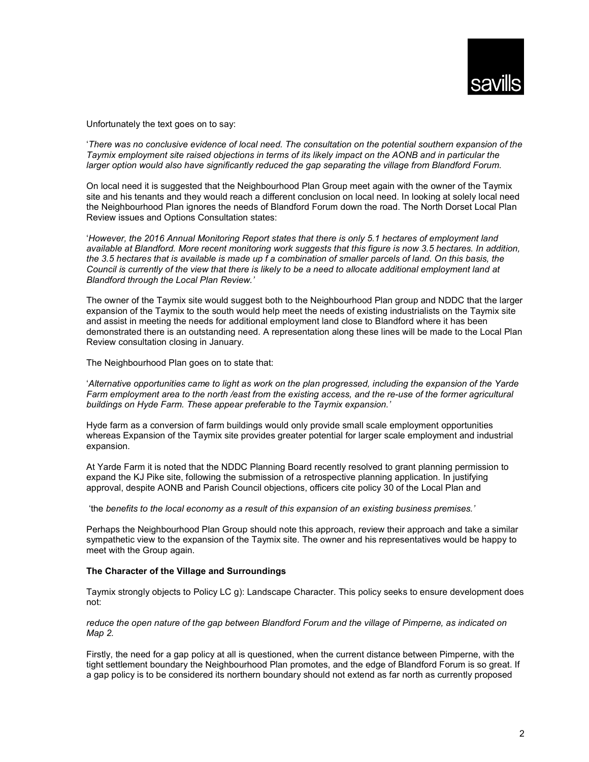

Unfortunately the text goes on to say:

'There was no conclusive evidence of local need. The consultation on the potential southern expansion of the Taymix employment site raised objections in terms of its likely impact on the AONB and in particular the larger option would also have significantly reduced the gap separating the village from Blandford Forum.

On local need it is suggested that the Neighbourhood Plan Group meet again with the owner of the Taymix site and his tenants and they would reach a different conclusion on local need. In looking at solely local need the Neighbourhood Plan ignores the needs of Blandford Forum down the road. The North Dorset Local Plan Review issues and Options Consultation states:

'However, the 2016 Annual Monitoring Report states that there is only 5.1 hectares of employment land available at Blandford. More recent monitoring work suggests that this figure is now 3.5 hectares. In addition, the 3.5 hectares that is available is made up f a combination of smaller parcels of land. On this basis, the Council is currently of the view that there is likely to be a need to allocate additional employment land at Blandford through the Local Plan Review.'

The owner of the Taymix site would suggest both to the Neighbourhood Plan group and NDDC that the larger expansion of the Taymix to the south would help meet the needs of existing industrialists on the Taymix site and assist in meeting the needs for additional employment land close to Blandford where it has been demonstrated there is an outstanding need. A representation along these lines will be made to the Local Plan Review consultation closing in January.

The Neighbourhood Plan goes on to state that:

'Alternative opportunities came to light as work on the plan progressed, including the expansion of the Yarde Farm employment area to the north /east from the existing access, and the re-use of the former agricultural buildings on Hyde Farm. These appear preferable to the Taymix expansion.'

Hyde farm as a conversion of farm buildings would only provide small scale employment opportunities whereas Expansion of the Taymix site provides greater potential for larger scale employment and industrial expansion.

At Yarde Farm it is noted that the NDDC Planning Board recently resolved to grant planning permission to expand the KJ Pike site, following the submission of a retrospective planning application. In justifying approval, despite AONB and Parish Council objections, officers cite policy 30 of the Local Plan and

'the benefits to the local economy as a result of this expansion of an existing business premises.'

Perhaps the Neighbourhood Plan Group should note this approach, review their approach and take a similar sympathetic view to the expansion of the Taymix site. The owner and his representatives would be happy to meet with the Group again.

## The Character of the Village and Surroundings

Taymix strongly objects to Policy LC g): Landscape Character. This policy seeks to ensure development does not:

reduce the open nature of the gap between Blandford Forum and the village of Pimperne, as indicated on Map 2.

Firstly, the need for a gap policy at all is questioned, when the current distance between Pimperne, with the tight settlement boundary the Neighbourhood Plan promotes, and the edge of Blandford Forum is so great. If a gap policy is to be considered its northern boundary should not extend as far north as currently proposed